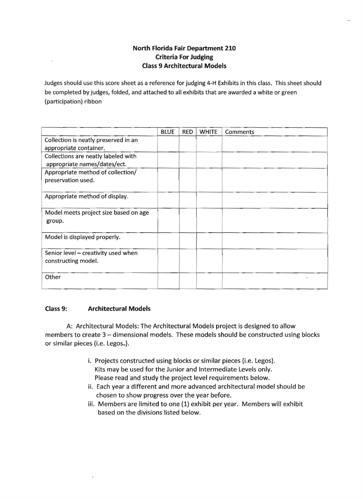# **North Florida Fair Department 210 Criteria For Judging Class 9 Architectural Models**

Judges should use this score sheet as a reference for judging 4-H Exhibits in this class. This sheet should be completed by judges, folded, and attached to all exhibits that are awarded a white or green (participation) ribbon

|                                                                     | <b>BLUE</b> | <b>RED</b> | <b>WHITE</b> | Comments |
|---------------------------------------------------------------------|-------------|------------|--------------|----------|
| Collection is neatly preserved in an                                |             |            |              |          |
| appropriate container.                                              |             |            |              |          |
| Collections are neatly labeled with<br>appropriate names/dates/ect. |             |            |              |          |
| Appropriate method of collection/                                   |             |            |              |          |
| preservation used.                                                  |             |            |              |          |
| Appropriate method of display.                                      |             |            |              |          |
| Model meets project size based on age<br>group.                     |             |            |              |          |
| Model is displayed properly.                                        |             |            |              |          |
| Senior level - creativity used when<br>constructing model.          |             |            |              |          |
| Other                                                               |             |            |              |          |

## **Class 9: Architectural Models**

 $\bar{1}$ 

A: Architectural Models: The Architectural Models project is designed to allow members to create 3 - dimensional models. These models should be constructed using blocks or similar pieces (i.e. Legos<sub>"</sub>).

- i. Projects constructed using blocks or similar pieces (i.e. Legos). Kits may be used for the Junior and Intermediate levels only. Please read and study the project level requirements below.
- ii. Each year a different and more advanced architectural model should be chosen to show progress over the year before.
- iii. Members are limited to one (1) exhibit per year. Members will exhibit based on the divisions listed below.